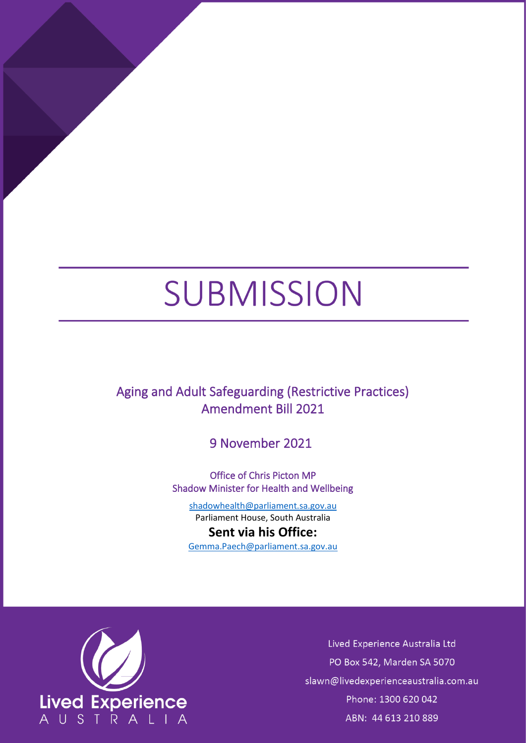## SUBMISSION

Aging and Adult Safeguarding (Restrictive Practices) Amendment Bill 2021

9 November 2021

Office of Chris Picton MP Shadow Minister for Health and Wellbeing

[shadowhealth@parliament.sa.gov.au](mailto:shadowhealth@parliament.sa.gov.au) Parliament House, South Australia

**Sent via his Office:** [Gemma.Paech@parliament.sa.gov.au](mailto:Gemma.Paech@parliament.sa.gov.au)



Lived Experience Australia Ltd PO Box 542, Marden SA 5070 slawn@livedexperienceaustralia.com.au Phone: 1300 620 042 ABN: 44 613 210 889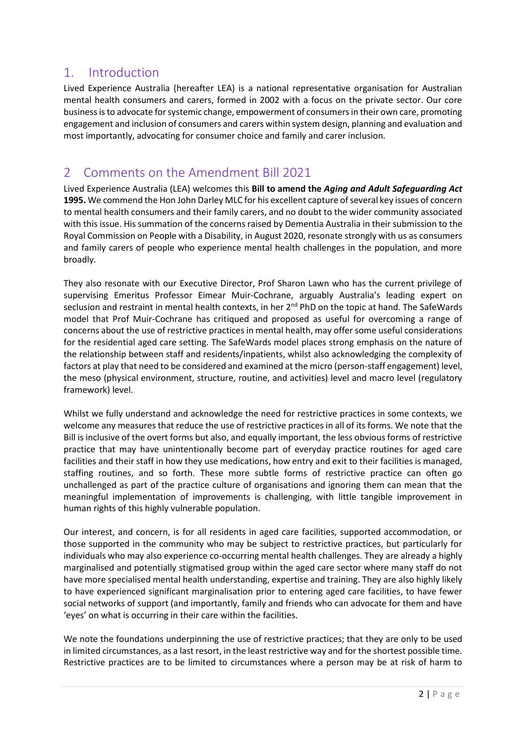## 1. Introduction

Lived Experience Australia (hereafter LEA) is a national representative organisation for Australian mental health consumers and carers, formed in 2002 with a focus on the private sector. Our core business is to advocate for systemic change, empowerment of consumers in their own care, promoting engagement and inclusion of consumers and carers within system design, planning and evaluation and most importantly, advocating for consumer choice and family and carer inclusion.

## 2 Comments on the Amendment Bill 2021

Lived Experience Australia (LEA) welcomes this **Bill to amend the** *Aging and Adult Safeguarding Act*  **1995.** We commend the Hon John Darley MLC for his excellent capture of several key issues of concern to mental health consumers and their family carers, and no doubt to the wider community associated with this issue. His summation of the concerns raised by Dementia Australia in their submission to the Royal Commission on People with a Disability, in August 2020, resonate strongly with us as consumers and family carers of people who experience mental health challenges in the population, and more broadly.

They also resonate with our Executive Director, Prof Sharon Lawn who has the current privilege of supervising Emeritus Professor Eimear Muir-Cochrane, arguably Australia's leading expert on seclusion and restraint in mental health contexts, in her 2<sup>nd</sup> PhD on the topic at hand. The SafeWards model that Prof Muir-Cochrane has critiqued and proposed as useful for overcoming a range of concerns about the use of restrictive practices in mental health, may offer some useful considerations for the residential aged care setting. The SafeWards model places strong emphasis on the nature of the relationship between staff and residents/inpatients, whilst also acknowledging the complexity of factors at play that need to be considered and examined at the micro (person-staff engagement) level, the meso (physical environment, structure, routine, and activities) level and macro level (regulatory framework) level.

Whilst we fully understand and acknowledge the need for restrictive practices in some contexts, we welcome any measures that reduce the use of restrictive practices in all of its forms. We note that the Bill is inclusive of the overt forms but also, and equally important, the less obvious forms of restrictive practice that may have unintentionally become part of everyday practice routines for aged care facilities and their staff in how they use medications, how entry and exit to their facilities is managed, staffing routines, and so forth. These more subtle forms of restrictive practice can often go unchallenged as part of the practice culture of organisations and ignoring them can mean that the meaningful implementation of improvements is challenging, with little tangible improvement in human rights of this highly vulnerable population.

Our interest, and concern, is for all residents in aged care facilities, supported accommodation, or those supported in the community who may be subject to restrictive practices, but particularly for individuals who may also experience co-occurring mental health challenges. They are already a highly marginalised and potentially stigmatised group within the aged care sector where many staff do not have more specialised mental health understanding, expertise and training. They are also highly likely to have experienced significant marginalisation prior to entering aged care facilities, to have fewer social networks of support (and importantly, family and friends who can advocate for them and have 'eyes' on what is occurring in their care within the facilities.

We note the foundations underpinning the use of restrictive practices; that they are only to be used in limited circumstances, as a last resort, in the least restrictive way and for the shortest possible time. Restrictive practices are to be limited to circumstances where a person may be at risk of harm to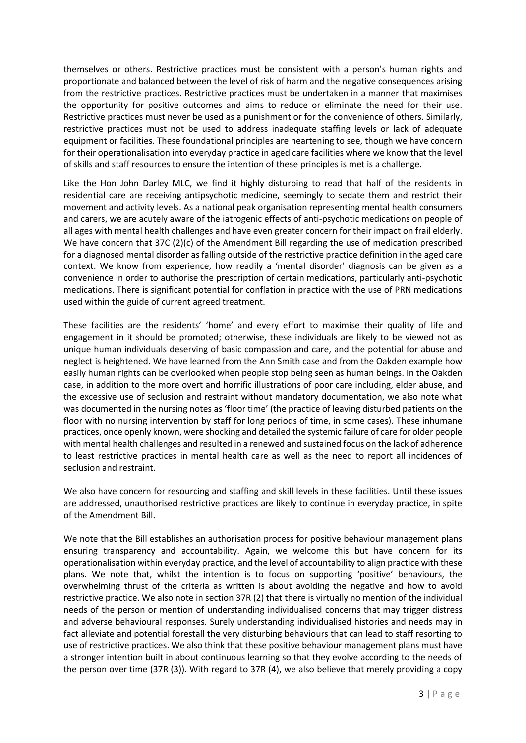themselves or others. Restrictive practices must be consistent with a person's human rights and proportionate and balanced between the level of risk of harm and the negative consequences arising from the restrictive practices. Restrictive practices must be undertaken in a manner that maximises the opportunity for positive outcomes and aims to reduce or eliminate the need for their use. Restrictive practices must never be used as a punishment or for the convenience of others. Similarly, restrictive practices must not be used to address inadequate staffing levels or lack of adequate equipment or facilities. These foundational principles are heartening to see, though we have concern for their operationalisation into everyday practice in aged care facilities where we know that the level of skills and staff resources to ensure the intention of these principles is met is a challenge.

Like the Hon John Darley MLC, we find it highly disturbing to read that half of the residents in residential care are receiving antipsychotic medicine, seemingly to sedate them and restrict their movement and activity levels. As a national peak organisation representing mental health consumers and carers, we are acutely aware of the iatrogenic effects of anti-psychotic medications on people of all ages with mental health challenges and have even greater concern for their impact on frail elderly. We have concern that 37C (2)(c) of the Amendment Bill regarding the use of medication prescribed for a diagnosed mental disorder as falling outside of the restrictive practice definition in the aged care context. We know from experience, how readily a 'mental disorder' diagnosis can be given as a convenience in order to authorise the prescription of certain medications, particularly anti-psychotic medications. There is significant potential for conflation in practice with the use of PRN medications used within the guide of current agreed treatment.

These facilities are the residents' 'home' and every effort to maximise their quality of life and engagement in it should be promoted; otherwise, these individuals are likely to be viewed not as unique human individuals deserving of basic compassion and care, and the potential for abuse and neglect is heightened. We have learned from the Ann Smith case and from the Oakden example how easily human rights can be overlooked when people stop being seen as human beings. In the Oakden case, in addition to the more overt and horrific illustrations of poor care including, elder abuse, and the excessive use of seclusion and restraint without mandatory documentation, we also note what was documented in the nursing notes as 'floor time' (the practice of leaving disturbed patients on the floor with no nursing intervention by staff for long periods of time, in some cases). These inhumane practices, once openly known, were shocking and detailed the systemic failure of care for older people with mental health challenges and resulted in a renewed and sustained focus on the lack of adherence to least restrictive practices in mental health care as well as the need to report all incidences of seclusion and restraint.

We also have concern for resourcing and staffing and skill levels in these facilities. Until these issues are addressed, unauthorised restrictive practices are likely to continue in everyday practice, in spite of the Amendment Bill.

We note that the Bill establishes an authorisation process for positive behaviour management plans ensuring transparency and accountability. Again, we welcome this but have concern for its operationalisation within everyday practice, and the level of accountability to align practice with these plans. We note that, whilst the intention is to focus on supporting 'positive' behaviours, the overwhelming thrust of the criteria as written is about avoiding the negative and how to avoid restrictive practice. We also note in section 37R (2) that there is virtually no mention of the individual needs of the person or mention of understanding individualised concerns that may trigger distress and adverse behavioural responses. Surely understanding individualised histories and needs may in fact alleviate and potential forestall the very disturbing behaviours that can lead to staff resorting to use of restrictive practices. We also think that these positive behaviour management plans must have a stronger intention built in about continuous learning so that they evolve according to the needs of the person over time (37R (3)). With regard to 37R (4), we also believe that merely providing a copy